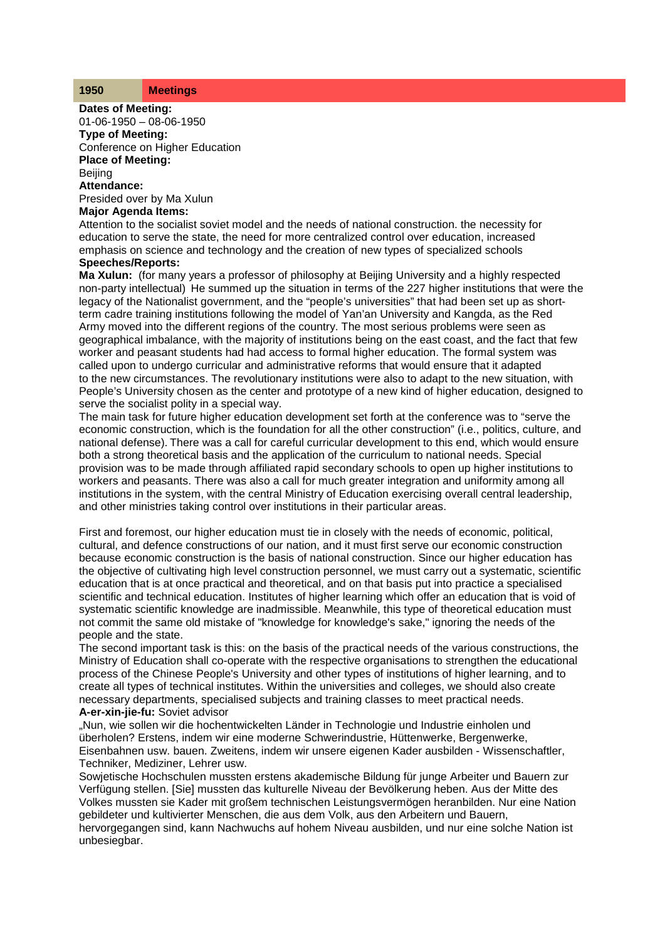### **1950 Meetings**

**Dates of Meeting:**

01-06-1950 – 08-06-1950 **Type of Meeting:**

Conference on Higher Education **Place of Meeting:**

**Beijing** 

**Attendance:**

Presided over by Ma Xulun

## **Major Agenda Items:**

Attention to the socialist soviet model and the needs of national construction. the necessity for education to serve the state, the need for more centralized control over education, increased emphasis on science and technology and the creation of new types of specialized schools

# **Speeches/Reports:**

**Ma Xulun:** (for many years a professor of philosophy at Beijing University and a highly respected non-party intellectual) He summed up the situation in terms of the 227 higher institutions that were the legacy of the Nationalist government, and the "people's universities" that had been set up as shortterm cadre training institutions following the model of Yan'an University and Kangda, as the Red Army moved into the different regions of the country. The most serious problems were seen as geographical imbalance, with the majority of institutions being on the east coast, and the fact that few worker and peasant students had had access to formal higher education. The formal system was called upon to undergo curricular and administrative reforms that would ensure that it adapted to the new circumstances. The revolutionary institutions were also to adapt to the new situation, with People's University chosen as the center and prototype of a new kind of higher education, designed to serve the socialist polity in a special way.

The main task for future higher education development set forth at the conference was to "serve the economic construction, which is the foundation for all the other construction" (i.e., politics, culture, and national defense). There was a call for careful curricular development to this end, which would ensure both a strong theoretical basis and the application of the curriculum to national needs. Special provision was to be made through affiliated rapid secondary schools to open up higher institutions to workers and peasants. There was also a call for much greater integration and uniformity among all institutions in the system, with the central Ministry of Education exercising overall central leadership, and other ministries taking control over institutions in their particular areas.

First and foremost, our higher education must tie in closely with the needs of economic, political, cultural, and defence constructions of our nation, and it must first serve our economic construction because economic construction is the basis of national construction. Since our higher education has the objective of cultivating high level construction personnel, we must carry out a systematic, scientific education that is at once practical and theoretical, and on that basis put into practice a specialised scientific and technical education. Institutes of higher learning which offer an education that is void of systematic scientific knowledge are inadmissible. Meanwhile, this type of theoretical education must not commit the same old mistake of "knowledge for knowledge's sake," ignoring the needs of the people and the state.

The second important task is this: on the basis of the practical needs of the various constructions, the Ministry of Education shall co-operate with the respective organisations to strengthen the educational process of the Chinese People's University and other types of institutions of higher learning, and to create all types of technical institutes. Within the universities and colleges, we should also create necessary departments, specialised subjects and training classes to meet practical needs. **A-er-xin-jie-fu:** Soviet advisor

"Nun, wie sollen wir die hochentwickelten Länder in Technologie und Industrie einholen und überholen? Erstens, indem wir eine moderne Schwerindustrie, Hüttenwerke, Bergenwerke, Eisenbahnen usw. bauen. Zweitens, indem wir unsere eigenen Kader ausbilden - Wissenschaftler, Techniker, Mediziner, Lehrer usw.

Sowjetische Hochschulen mussten erstens akademische Bildung für junge Arbeiter und Bauern zur Verfügung stellen. [Sie] mussten das kulturelle Niveau der Bevölkerung heben. Aus der Mitte des Volkes mussten sie Kader mit großem technischen Leistungsvermögen heranbilden. Nur eine Nation gebildeter und kultivierter Menschen, die aus dem Volk, aus den Arbeitern und Bauern,

hervorgegangen sind, kann Nachwuchs auf hohem Niveau ausbilden, und nur eine solche Nation ist unbesiegbar.